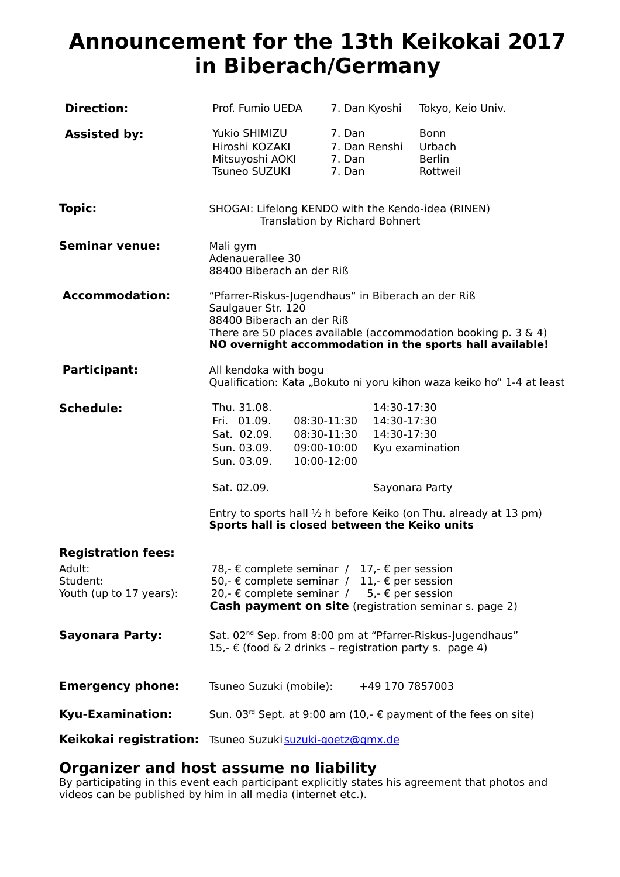# **Announcement for the 13th Keikokai 2017 in Biberach/Germany**

| <b>Direction:</b>                                                          | Prof. Fumio UEDA                                                                                                                                                                                                    | 7. Dan Kyoshi                                                                                         | Tokyo, Keio Univ.                                                                                                              |
|----------------------------------------------------------------------------|---------------------------------------------------------------------------------------------------------------------------------------------------------------------------------------------------------------------|-------------------------------------------------------------------------------------------------------|--------------------------------------------------------------------------------------------------------------------------------|
| <b>Assisted by:</b>                                                        | Yukio SHIMIZU<br>Hiroshi KOZAKI<br>Mitsuyoshi AOKI<br>Tsuneo SUZUKI                                                                                                                                                 | 7. Dan<br>7. Dan Renshi<br>7. Dan<br>7. Dan                                                           | Bonn<br>Urbach<br><b>Berlin</b><br>Rottweil                                                                                    |
| Topic:                                                                     | SHOGAI: Lifelong KENDO with the Kendo-idea (RINEN)                                                                                                                                                                  | Translation by Richard Bohnert                                                                        |                                                                                                                                |
| <b>Seminar venue:</b>                                                      | Mali gym<br>Adenauerallee 30<br>88400 Biberach an der Riß                                                                                                                                                           |                                                                                                       |                                                                                                                                |
| <b>Accommodation:</b>                                                      | "Pfarrer-Riskus-Jugendhaus" in Biberach an der Riß<br>Saulgauer Str. 120<br>88400 Biberach an der Riß                                                                                                               |                                                                                                       | There are 50 places available (accommodation booking $p. 3 \& 4$ )<br>NO overnight accommodation in the sports hall available! |
| <b>Participant:</b>                                                        | All kendoka with bogu                                                                                                                                                                                               |                                                                                                       | Qualification: Kata "Bokuto ni yoru kihon waza keiko ho" 1-4 at least                                                          |
| <b>Schedule:</b>                                                           | Thu. 31.08.<br>Fri. 01.09.<br>Sat. 02.09.<br>Sun. 03.09.<br>Sun. 03.09.                                                                                                                                             | 14:30-17:30<br>14:30-17:30<br>08:30-11:30<br>14:30-17:30<br>08:30-11:30<br>09:00-10:00<br>10:00-12:00 | Kyu examination                                                                                                                |
|                                                                            | Sat. 02.09.                                                                                                                                                                                                         |                                                                                                       | Sayonara Party                                                                                                                 |
|                                                                            | Sports hall is closed between the Keiko units                                                                                                                                                                       |                                                                                                       | Entry to sports hall 1/2 h before Keiko (on Thu. already at 13 pm)                                                             |
| <b>Registration fees:</b><br>Adult:<br>Student:<br>Youth (up to 17 years): | 78,- € complete seminar / 17,- € per session<br>50,- € complete seminar / 11,- € per session<br>20,- € complete seminar / $5,-\epsilon$ per session<br><b>Cash payment on site</b> (registration seminar s. page 2) |                                                                                                       |                                                                                                                                |
| <b>Sayonara Party:</b>                                                     | Sat. 02 <sup>nd</sup> Sep. from 8:00 pm at "Pfarrer-Riskus-Jugendhaus"<br>15,- € (food & 2 drinks - registration party s. page 4)                                                                                   |                                                                                                       |                                                                                                                                |
| <b>Emergency phone:</b>                                                    | Tsuneo Suzuki (mobile):                                                                                                                                                                                             | +49 170 7857003                                                                                       |                                                                                                                                |
| <b>Kyu-Examination:</b>                                                    | Sun. 03 <sup>rd</sup> Sept. at 9:00 am (10,- € payment of the fees on site)                                                                                                                                         |                                                                                                       |                                                                                                                                |
|                                                                            | Keikokai registration: Tsuneo Suzuki suzuki-goetz@gmx.de                                                                                                                                                            |                                                                                                       |                                                                                                                                |

# **Organizer and host assume no liability**

By participating in this event each participant explicitly states his agreement that photos and videos can be published by him in all media (internet etc.).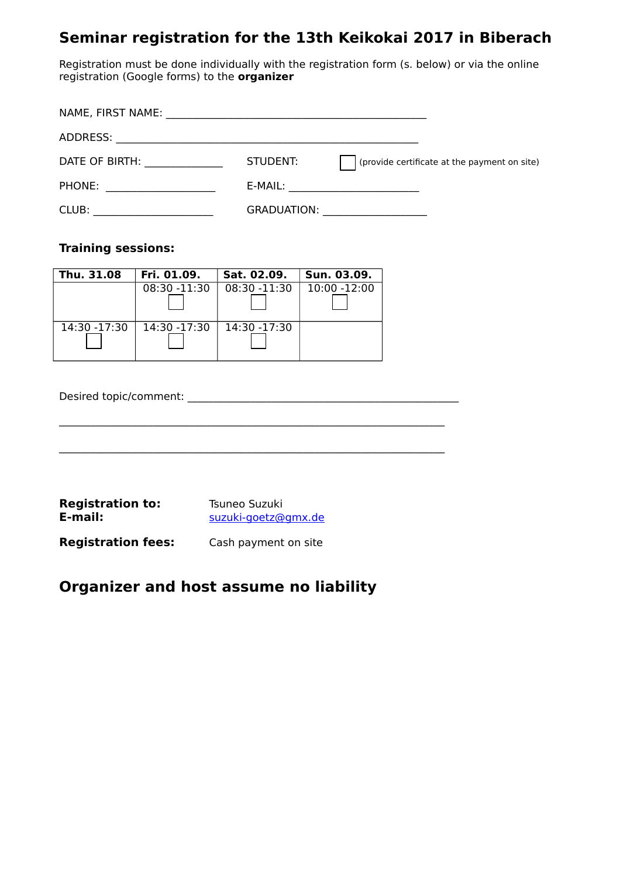# **Seminar registration for the 13th Keikokai 2017 in Biberach**

Registration must be done individually with the registration form (s. below) or via the online registration (Google forms) to the **organizer**

| NAME, FIRST NAME: |                    |                                              |
|-------------------|--------------------|----------------------------------------------|
| ADDRESS:          |                    |                                              |
| DATE OF BIRTH:    | STUDENT:           | (provide certificate at the payment on site) |
| PHONE:            | E-MAIL:            |                                              |
| CLUB:             | <b>GRADUATION:</b> |                                              |

## **Training sessions:**

| Thu. 31.08   | Fri. 01.09.     | Sat. 02.09.     | Sun. 03.09.     |
|--------------|-----------------|-----------------|-----------------|
|              | $08:30 - 11:30$ | $08:30 - 11:30$ | $10:00 - 12:00$ |
| 14:30 -17:30 | 14:30 -17:30    | 14:30 -17:30    |                 |

 $\_$  , and the set of the set of the set of the set of the set of the set of the set of the set of the set of the set of the set of the set of the set of the set of the set of the set of the set of the set of the set of th

Desired topic/comment:

| <b>Registration to:</b> | Tsuneo Suzuki       |  |
|-------------------------|---------------------|--|
| E-mail:                 | suzuki-goetz@gmx.de |  |

**Registration fees:** Cash payment on site

# **Organizer and host assume no liability**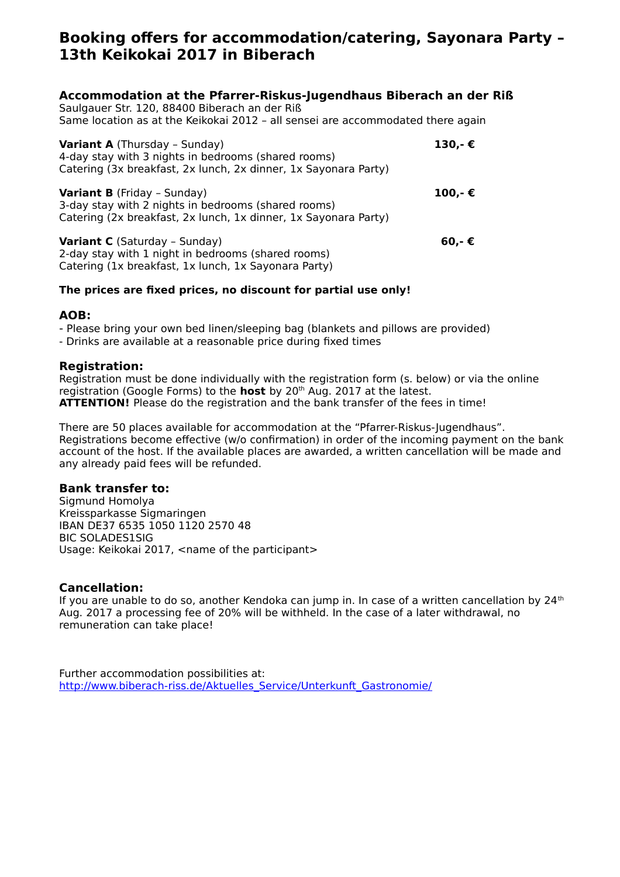# **Booking offers for accommodation/catering, Sayonara Party – 13th Keikokai 2017 in Biberach**

### **Accommodation at the Pfarrer-Riskus-Jugendhaus Biberach an der Riß**

Saulgauer Str. 120, 88400 Biberach an der Riß Same location as at the Keikokai 2012 – all sensei are accommodated there again

| <b>Variant A</b> (Thursday - Sunday)<br>4-day stay with 3 nights in bedrooms (shared rooms)<br>Catering (3x breakfast, 2x lunch, 2x dinner, 1x Sayonara Party) | 130,-€ |
|----------------------------------------------------------------------------------------------------------------------------------------------------------------|--------|
| <b>Variant B</b> (Friday - Sunday)<br>3-day stay with 2 nights in bedrooms (shared rooms)<br>Catering (2x breakfast, 2x lunch, 1x dinner, 1x Sayonara Party)   | 100,-€ |
| Variant C (Saturday - Sunday)<br>2-day stay with 1 night in bedrooms (shared rooms)<br>Catering (1x breakfast, 1x lunch, 1x Sayonara Party)                    | 60,-€  |

#### **The prices are fixed prices, no discount for partial use only!**

#### **AOB:**

- Please bring your own bed linen/sleeping bag (blankets and pillows are provided)

- Drinks are available at a reasonable price during fixed times

#### **Registration:**

Registration must be done individually with the registration form (s. below) or via the online registration (Google Forms) to the **host** by 20th Aug. 2017 at the latest. **ATTENTION!** Please do the registration and the bank transfer of the fees in time!

There are 50 places available for accommodation at the "Pfarrer-Riskus-Jugendhaus". Registrations become effective (w/o confirmation) in order of the incoming payment on the bank account of the host. If the available places are awarded, a written cancellation will be made and any already paid fees will be refunded.

### **Bank transfer to:**

Sigmund Homolya Kreissparkasse Sigmaringen IBAN DE37 6535 1050 1120 2570 48 BIC SOLADES1SIG Usage: Keikokai 2017, <name of the participant>

### **Cancellation:**

If you are unable to do so, another Kendoka can jump in. In case of a written cancellation by 24<sup>th</sup> Aug. 2017 a processing fee of 20% will be withheld. In the case of a later withdrawal, no remuneration can take place!

Further accommodation possibilities at: [http://www.biberach-riss.de/Aktuelles\\_Service/Unterkunft\\_Gastronomie/](http://www.biberach-riss.de/Aktuelles_Service/Unterkunft_Gastronomie/)